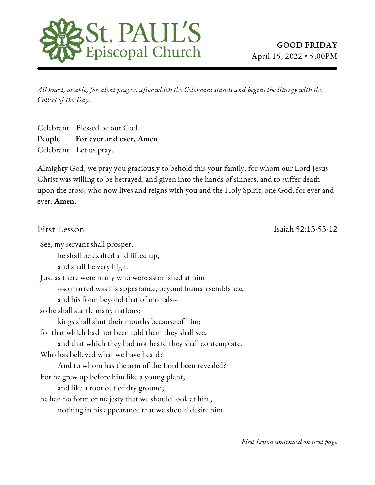

All kneel, as able, for silent prayer, after which the Celebrant stands and begins the liturgy with the *Collect of the Day.*

Celebrant Blessed be our God **People For ever and ever. Amen** Celebrant Let us pray.

Almighty God, we pray you graciously to behold this your family, for whom our Lord Jesus Christ was willing to be betrayed, and given into the hands of sinners, and to suffer death upon the cross; who now lives and reigns with you and the Holy Spirit, one God, for ever and ever. **Amen.**

First Lesson Isaiah 52:13-53-12

See, my servant shall prosper; he shall be exalted and lifted up, and shall be very high. Just as there were many who were astonished at him --so marred was his appearance, beyond human semblance, and his form beyond that of mortals- so he shall startle many nations; kings shall shut their mouths because of him; for that which had not been told them they shall see, and that which they had not heard they shall contemplate. Who has believed what we have heard? And to whom has the arm of the Lord been revealed? For he grew up before him like a young plant, and like a root out of dry ground; he had no form or majesty that we should look at him, nothing in his appearance that we should desire him.

*First Lesson continued on next page*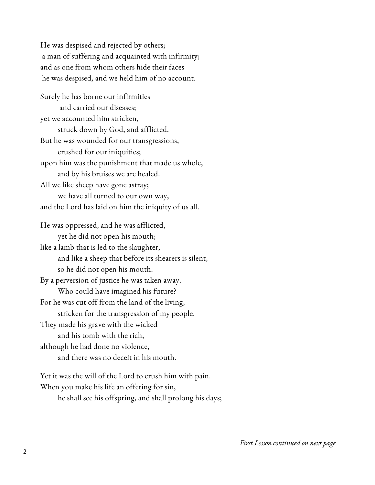He was despised and rejected by others; a man of suffering and acquainted with infirmity; and as one from whom others hide their faces he was despised, and we held him of no account.

Surely he has borne our infirmities and carried our diseases; yet we accounted him stricken, struck down by God, and afflicted. But he was wounded for our transgressions, crushed for our iniquities; upon him was the punishment that made us whole, and by his bruises we are healed. All we like sheep have gone astray; we have all turned to our own way, and the Lord has laid on him the iniquity of us all.

He was oppressed, and he was afflicted, yet he did not open his mouth; like a lamb that is led to the slaughter, and like a sheep that before its shearers is silent, so he did not open his mouth. By a perversion of justice he was taken away. Who could have imagined his future? For he was cut off from the land of the living, stricken for the transgression of my people. They made his grave with the wicked and his tomb with the rich, although he had done no violence, and there was no deceit in his mouth.

Yet it was the will of the Lord to crush him with pain. When you make his life an offering for sin, he shall see his offspring, and shall prolong his days;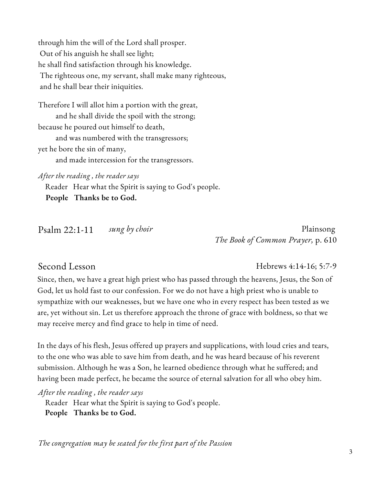through him the will of the Lord shall prosper. Out of his anguish he shall see light; he shall find satisfaction through his knowledge. The righteous one, my servant, shall make many righteous, and he shall bear their iniquities.

Therefore I will allot him a portion with the great,

and he shall divide the spoil with the strong; because he poured out himself to death,

and was numbered with the transgressors; yet he bore the sin of many,

and made intercession for the transgressors.

*After the reading , the reader says*

Reader Hear what the Spirit is saying to God's people.

**People Thanks be to God.**

Psalm 22:1-11 *sung by choir* Plainsong *The Book of Common Prayer,* p. 610

Second Lesson Hebrews 4:14-16; 5:7-9

Since, then, we have a great high priest who has passed through the heavens, Jesus, the Son of God, let us hold fast to our confession. For we do not have a high priest who is unable to sympathize with our weaknesses, but we have one who in every respect has been tested as we are, yet without sin. Let us therefore approach the throne of grace with boldness, so that we may receive mercy and find grace to help in time of need.

In the days of his flesh, Jesus offered up prayers and supplications, with loud cries and tears, to the one who was able to save him from death, and he was heard because of his reverent submission. Although he was a Son, he learned obedience through what he suffered; and having been made perfect, he became the source of eternal salvation for all who obey him.

*After the reading , the reader says* Reader Hear what the Spirit is saying to God's people. **People Thanks be to God.**

*The congregation may be seated for the first part of the Passion*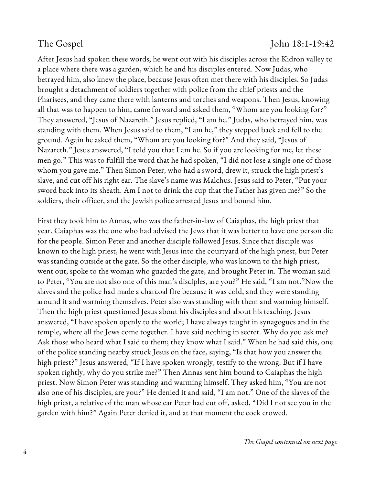## The Gospel John 18:1-19:42

After Jesus had spoken these words, he went out with his disciples across the Kidron valley to a place where there was a garden, which he and his disciples entered. Now Judas, who betrayed him, also knew the place, because Jesus often met there with his disciples. So Judas brought a detachment of soldiers together with police from the chief priests and the Pharisees, and they came there with lanterns and torches and weapons. Then Jesus, knowing all that was to happen to him, came forward and asked them, "Whom are you looking for?" They answered, "Jesus of Nazareth." Jesus replied, "I am he." Judas, who betrayed him, was standing with them. When Jesus said to them, "I am he," they stepped back and fell to the ground. Again he asked them, "Whom are you looking for?" And they said, "Jesus of Nazareth." Jesus answered, "I told you that I am he. So if you are looking for me, let these men go." This was to fulfill the word that he had spoken, "I did not lose a single one of those whom you gave me." Then Simon Peter, who had a sword, drew it, struck the high priest's slave, and cut off his right ear. The slave's name was Malchus. Jesus said to Peter, "Put your sword back into its sheath. Am I not to drink the cup that the Father has given me?" So the soldiers, their officer, and the Jewish police arrested Jesus and bound him.

First they took him to Annas, who was the father-in-law of Caiaphas, the high priest that year. Caiaphas was the one who had advised the Jews that it was better to have one person die for the people. Simon Peter and another disciple followed Jesus. Since that disciple was known to the high priest, he went with Jesus into the courtyard of the high priest, but Peter was standing outside at the gate. So the other disciple, who was known to the high priest, went out, spoke to the woman who guarded the gate, and brought Peter in. The woman said to Peter, "You are not also one of this man's disciples, are you?" He said, "I am not."Now the slaves and the police had made a charcoal fire because it was cold, and they were standing around it and warming themselves. Peter also was standing with them and warming himself. Then the high priest questioned Jesus about his disciples and about his teaching. Jesus answered, "I have spoken openly to the world; I have always taught in synagogues and in the temple, where all the Jews come together. I have said nothing in secret. Why do you ask me? Ask those who heard what I said to them; they know what I said." When he had said this, one of the police standing nearby struck Jesus on the face, saying, "Is that how you answer the high priest?" Jesus answered, "If I have spoken wrongly, testify to the wrong. But if I have spoken rightly, why do you strike me?" Then Annas sent him bound to Caiaphas the high priest. Now Simon Peter was standing and warming himself. They asked him, "You are not also one of his disciples, are you?" He denied it and said, "I am not." One of the slaves of the high priest, a relative of the man whose ear Peter had cut off, asked, "Did I not see you in the garden with him?" Again Peter denied it, and at that moment the cock crowed.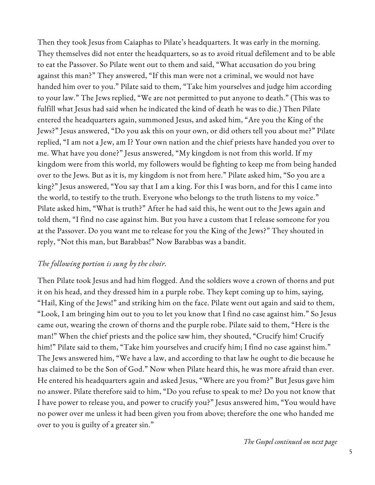Then they took Jesus from Caiaphas to Pilate's headquarters. It was early in the morning. They themselves did not enter the headquarters, so as to avoid ritual defilement and to be able to eat the Passover. So Pilate went out to them and said, "What accusation do you bring against this man?" They answered, "If this man were not a criminal, we would not have handed him over to you." Pilate said to them, "Take him yourselves and judge him according to your law." The Jews replied, "We are not permitted to put anyone to death." (This was to fulfill what Jesus had said when he indicated the kind of death he was to die.) Then Pilate entered the headquarters again, summoned Jesus, and asked him, "Are you the King of the Jews?" Jesus answered, "Do you ask this on your own, or did others tell you about me?" Pilate replied, "I am not a Jew, am I? Your own nation and the chief priests have handed you over to me. What have you done?" Jesus answered, "My kingdom is not from this world. If my kingdom were from this world, my followers would be fighting to keep me from being handed over to the Jews. But as it is, my kingdom is not from here." Pilate asked him, "So you are a king?" Jesus answered, "You say that I am a king. For this I was born, and for this I came into the world, to testify to the truth. Everyone who belongs to the truth listens to my voice." Pilate asked him, "What is truth?" After he had said this, he went out to the Jews again and told them, "I find no case against him. But you have a custom that I release someone for you at the Passover. Do you want me to release for you the King of the Jews?" They shouted in reply, "Not this man, but Barabbas!" Now Barabbas was a bandit.

### *The following portion is sung by the choir.*

Then Pilate took Jesus and had him flogged. And the soldiers wove a crown of thorns and put it on his head, and they dressed him in a purple robe. They kept coming up to him, saying, "Hail, King of the Jews!" and striking him on the face. Pilate went out again and said to them, "Look, I am bringing him out to you to let you know that I find no case against him." So Jesus came out, wearing the crown of thorns and the purple robe. Pilate said to them, "Here is the man!" When the chief priests and the police saw him, they shouted, "Crucify him! Crucify him!" Pilate said to them, "Take him yourselves and crucify him; I find no case against him." The Jews answered him, "We have a law, and according to that law he ought to die because he has claimed to be the Son of God." Now when Pilate heard this, he was more afraid than ever. He entered his headquarters again and asked Jesus, "Where are you from?" But Jesus gave him no answer. Pilate therefore said to him, "Do you refuse to speak to me? Do you not know that I have power to release you, and power to crucify you?" Jesus answered him, "You would have no power over me unless it had been given you from above; therefore the one who handed me over to you is guilty of a greater sin."

*The Gospel continued on next page*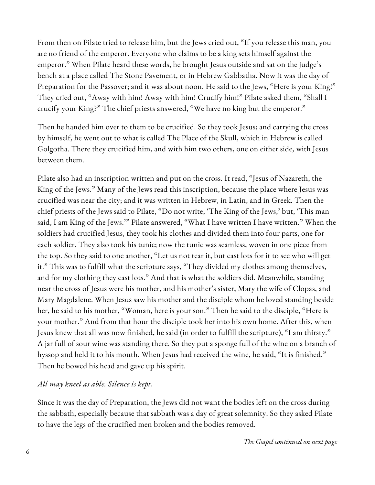From then on Pilate tried to release him, but the Jews cried out, "If you release this man, you are no friend of the emperor. Everyone who claims to be a king sets himself against the emperor." When Pilate heard these words, he brought Jesus outside and sat on the judge's bench at a place called The Stone Pavement, or in Hebrew Gabbatha. Now it was the day of Preparation for the Passover; and it was about noon. He said to the Jews, "Here is your King!" They cried out, "Away with him! Away with him! Crucify him!" Pilate asked them, "Shall I crucify your King?" The chief priests answered, "We have no king but the emperor."

Then he handed him over to them to be crucified. So they took Jesus; and carrying the cross by himself, he went out to what is called The Place of the Skull, which in Hebrew is called Golgotha. There they crucified him, and with him two others, one on either side, with Jesus between them.

Pilate also had an inscription written and put on the cross. It read, "Jesus of Nazareth, the King of the Jews." Many of the Jews read this inscription, because the place where Jesus was crucified was near the city; and it was written in Hebrew, in Latin, and in Greek. Then the chief priests of the Jews said to Pilate, "Do not write, 'The King of the Jews,' but, 'This man said, I am King of the Jews.'" Pilate answered, "What I have written I have written." When the soldiers had crucified Jesus, they took his clothes and divided them into four parts, one for each soldier. They also took his tunic; now the tunic was seamless, woven in one piece from the top. So they said to one another, "Let us not tear it, but cast lots for it to see who will get it." This was to fulfill what the scripture says, "They divided my clothes among themselves, and for my clothing they cast lots." And that is what the soldiers did. Meanwhile, standing near the cross of Jesus were his mother, and his mother's sister, Mary the wife of Clopas, and Mary Magdalene. When Jesus saw his mother and the disciple whom he loved standing beside her, he said to his mother, "Woman, here is your son." Then he said to the disciple, "Here is your mother." And from that hour the disciple took her into his own home. After this, when Jesus knew that all was now finished, he said (in order to fulfill the scripture), "I am thirsty." A jar full of sour wine was standing there. So they put a sponge full of the wine on a branch of hyssop and held it to his mouth. When Jesus had received the wine, he said, "It is finished." Then he bowed his head and gave up his spirit.

### *All may kneel as able. Silence is kept.*

Since it was the day of Preparation, the Jews did not want the bodies left on the cross during the sabbath, especially because that sabbath was a day of great solemnity. So they asked Pilate to have the legs of the crucified men broken and the bodies removed.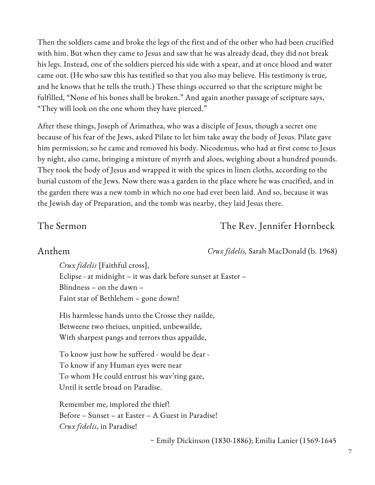Then the soldiers came and broke the legs of the first and of the other who had been crucified with him. But when they came to Jesus and saw that he was already dead, they did not break his legs. Instead, one of the soldiers pierced his side with a spear, and at once blood and water came out. (He who saw this has testified so that you also may believe. His testimony is true, and he knows that he tells the truth.) These things occurred so that the scripture might be fulfilled, "None of his bones shall be broken." And again another passage of scripture says, "They will look on the one whom they have pierced."

After these things, Joseph of Arimathea, who was a disciple of Jesus, though a secret one because of his fear of the Jews, asked Pilate to let him take away the body of Jesus. Pilate gave him permission; so he came and removed his body. Nicodemus, who had at first come to Jesus by night, also came, bringing a mixture of myrrh and aloes, weighing about a hundred pounds. They took the body of Jesus and wrapped it with the spices in linen cloths, according to the burial custom of the Jews. Now there was a garden in the place where he was crucified, and in the garden there was a new tomb in which no one had ever been laid. And so, because it was the Jewish day of Preparation, and the tomb was nearby, they laid Jesus there.

The Sermon The Rev. Jennifer Hornbeck

Anthem *Crux fidelis,* Sarah MacDonald (b. 1968)

*Crux fidelis* [Faithful cross], Eclipse - at midnight – it was dark before sunset at Easter – Blindness – on the dawn – Faint star of Bethlehem – gone down!

His harmlesse hands unto the Crosse they nailde, Betweene two theiues, unpitied, unbewailde, With sharpest pangs and terrors thus appailde,

To know just how he suffered -would be dear - To know if any Human eyes were near To whom He could entrust his wav'ring gaze, Until it settle broad on Paradise.

Remember me, implored the thief! Before – Sunset – at Easter – A Guest in Paradise! *Crux fidelis*, in Paradise!

~ Emily Dickinson (1830-1886); Emilia Lanier (1569-1645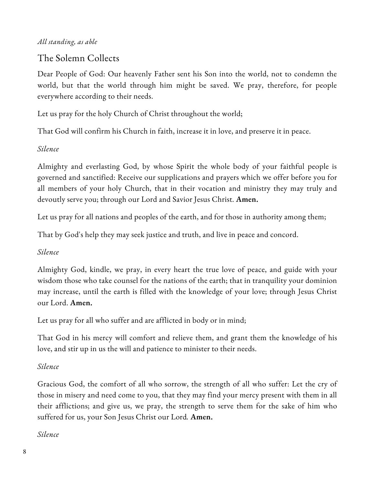# The Solemn Collects

Dear People of God: Our heavenly Father sent his Son into the world, not to condemn the world, but that the world through him might be saved. We pray, therefore, for people everywhere according to their needs.

Let us pray for the holy Church of Christ throughout the world;

That God will confirm his Church in faith, increase it in love, and preserve it in peace.

## *Silence*

Almighty and everlasting God, by whose Spirit the whole body of your faithful people is governed and sanctified: Receive our supplications and prayers which we offer before you for all members of your holy Church, that in their vocation and ministry they may truly and devoutly serve you; through our Lord and Savior Jesus Christ. **Amen.**

Let us pray for all nations and peoples of the earth, and for those in authority among them;

That by God's help they may seek justice and truth, and live in peace and concord.

## *Silence*

Almighty God, kindle, we pray, in every heart the true love of peace, and guide with your wisdom those who take counsel for the nations of the earth; that in tranquility your dominion may increase, until the earth is filled with the knowledge of your love; through Jesus Christ our Lord. **Amen.**

Let us pray for all who suffer and are afflicted in body or in mind;

That God in his mercy will comfort and relieve them, and grant them the knowledge of his love, and stir up in us the will and patience to minister to their needs.

## *Silence*

Gracious God, the comfort of all who sorrow, the strength of all who suffer: Let the cry of those in misery and need come to you, that they may find your mercy present with them in all their afflictions; and give us, we pray, the strength to serve them for the sake of him who suffered for us, your Son Jesus Christ our Lord*.* **Amen.**

*Silence*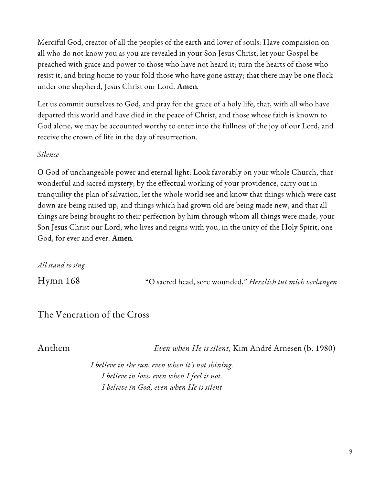Merciful God, creator of all the peoples of the earth and lover of souls: Have compassion on all who do not know you as you are revealed in your Son Jesus Christ; let your Gospel be preached with grace and power to those who have not heard it; turn the hearts of those who resist it; and bring home to your fold those who have gone astray; that there may be one flock under one shepherd, Jesus Christ our Lord. **Amen***.*

Let us commit ourselves to God, and pray for the grace of a holy life, that, with all who have departed this world and have died in the peace of Christ, and those whose faith is known to God alone, we may be accounted worthy to enter into the fullness of the joy of our Lord, and receive the crown of life in the day of resurrection.

### *Silence*

O God of unchangeable power and eternal light: Look favorably on your whole Church, that wonderful and sacred mystery; by the effectual working of your providence, carry out in tranquility the plan of salvation; let the whole world see and know that things which were cast down are being raised up, and things which had grown old are being made new, and that all things are being brought to their perfection by him through whom all things were made, your Son Jesus Christ our Lord; who lives and reigns with you, in the unity of the Holy Spirit, one God, for ever and ever. **Amen***.*

*All stand to sing*

Hymn 168 "O sacred head, sore wounded," *Herzlich tut mich verlangen*

The Veneration of the Cross

Anthem *Even when He is silent,* Kim André Arnesen (b. 1980)

*I believe in the sun, even when it's not shining. I believe in love, even when I feel it not. I believe in God, even when He is silent*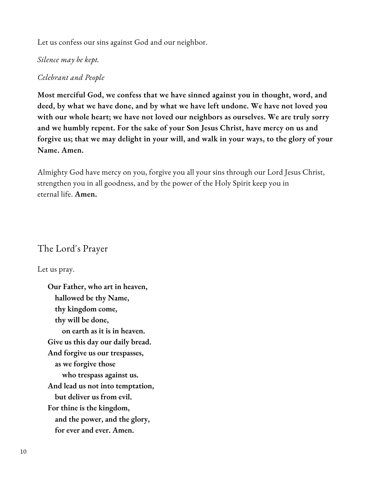Let us confess our sins against God and our neighbor.

*Silence may be kept.*

## *Celebrant and People*

**Most merciful God, we confess that we have sinned against you in thought, word, and deed, by what we have done, and by what we have left undone. We have not loved you with our whole heart; we have not loved our neighbors as ourselves. We are truly sorry and we humbly repent. For the sake of your Son Jesus Christ, have mercy on us and forgive us; that we may delight in your will, and walk in your ways, to the glory of your Name. Amen.**

Almighty God have mercy on you, forgive you all your sins through our Lord Jesus Christ, strengthen you in all goodness, and by the power of the Holy Spirit keep you in eternal life. **Amen.**

The Lord's Prayer

Let us pray.

**Our Father, who art in heaven, hallowed be thy Name, thy kingdom come, thy will be done, on earth as it is in heaven. Give us this day our daily bread. And forgive us our trespasses, as we forgive those who trespass against us. And lead us not into temptation, but deliver us from evil. For thine is the kingdom, and the power, and the glory, for ever and ever. Amen.**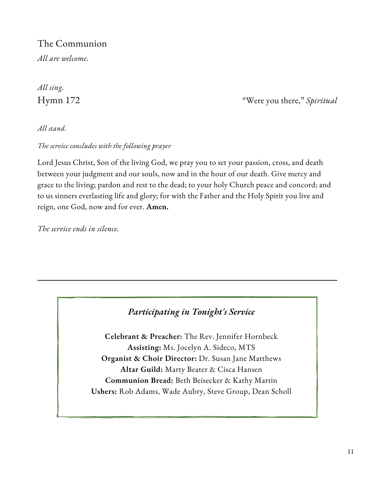The Communion *All are welcome.*

*All sing.*

Hymn 172 "Were you there," *Spiritual*

*All stand.*

*The service concludes with the following prayer*

Lord Jesus Christ, Son of the living God, we pray you to set your passion, cross, and death between your judgment and our souls, now and in the hour of our death. Give mercy and grace to the living; pardon and rest to the dead; to your holy Church peace and concord; and to us sinners everlasting life and glory; for with the Father and the Holy Spirit you live and reign, one God, now and for ever. **Amen.**

*The service ends in silence.*

## *Participating in Tonight's Service*

**Celebrant & Preacher:** The Rev. Jennifer Hornbeck **Assisting:** Ms. Jocelyn A. Sideco, MTS **Organist & Choir Director:** Dr. Susan Jane Matthews **Altar Guild:** Marty Beater & Cisca Hansen **Communion Bread:** Beth Beisecker & Kathy Martin **Ushers:** Rob Adams, Wade Aubry, Steve Group, Dean Scholl